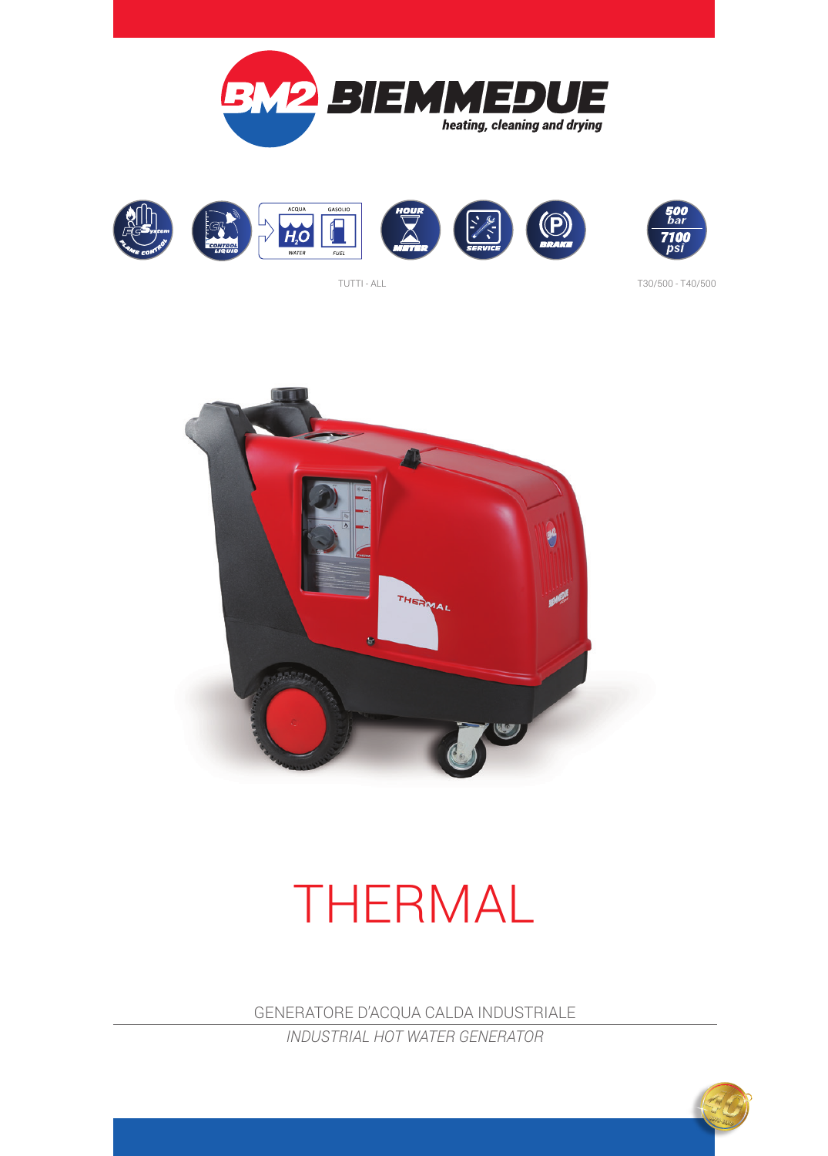





TUTTI - ALL T30/500 - T40/500



## THERMAL

GENERATORE D'ACQUA CALDA INDUSTRIALE *INDUSTRIAL HOT WATER GENERATOR*